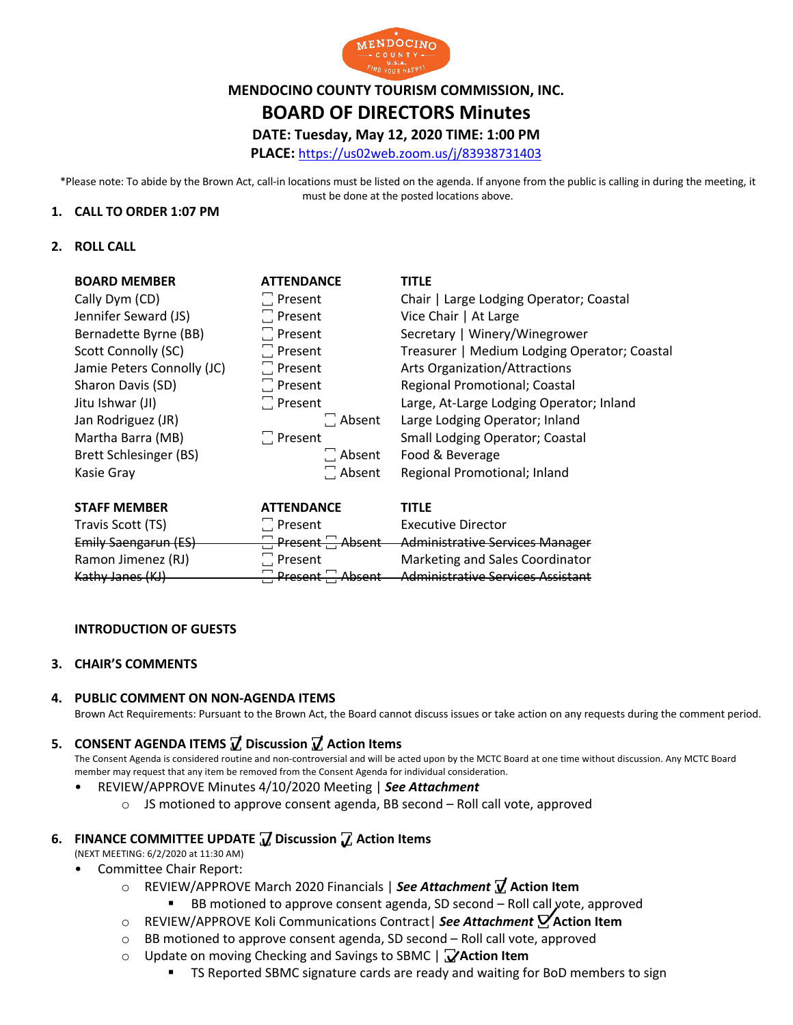

# **MENDOCINO COUNTY TOURISM COMMISSION, INC.**

# **BOARD OF DIRECTORS Minutes**

### **DATE: Tuesday, May 12, 2020 TIME: 1:00 PM**

**PLACE:** https://us02web.zoom.us/j/83938731403

\*Please note: To abide by the Brown Act, call-in locations must be listed on the agenda. If anyone from the public is calling in during the meeting, it must be done at the posted locations above.

#### **1. CALL TO ORDER 1:07 PM**

#### **2. ROLL CALL**

| <b>BOARD MEMBER</b>        | <b>ATTENDANCE</b> | <b>TITLE</b>                                 |
|----------------------------|-------------------|----------------------------------------------|
| Cally Dym (CD)             | $\Box$ Present    | Chair   Large Lodging Operator; Coastal      |
| Jennifer Seward (JS)       | $\Box$ Present    | Vice Chair   At Large                        |
| Bernadette Byrne (BB)      | $\Box$ Present    | Secretary   Winery/Winegrower                |
| Scott Connolly (SC)        | $\Box$ Present    | Treasurer   Medium Lodging Operator; Coastal |
| Jamie Peters Connolly (JC) | $\Box$ Present    | <b>Arts Organization/Attractions</b>         |
| Sharon Davis (SD)          | $\Box$ Present    | Regional Promotional; Coastal                |
| Jitu Ishwar (JI)           | $\Box$ Present    | Large, At-Large Lodging Operator; Inland     |
| Jan Rodriguez (JR)         | $\Box$ Absent     | Large Lodging Operator; Inland               |
| Martha Barra (MB)          | $\Box$ Present    | <b>Small Lodging Operator; Coastal</b>       |
| Brett Schlesinger (BS)     | $\Box$ Absent     | Food & Beverage                              |
| Kasie Gray                 | $\Box$ Absent     | Regional Promotional; Inland                 |
|                            |                   |                                              |
|                            |                   |                                              |

| <b>STAFF MEMBER</b>  | <b>ATTENDANCE</b>               | <b>TITLF</b>                        |
|----------------------|---------------------------------|-------------------------------------|
| Travis Scott (TS)    | $\Box$ Present                  | <b>Executive Director</b>           |
| Emily Saengarun (ES) | $\Box$ Present $\Box$<br>Absent | -Administrative Services Manager    |
| Ramon Jimenez (RJ)   | $\Box$ Present                  | Marketing and Sales Coordinator     |
| Kathy Janes (KJ)     | Absent<br>Present -             | - Administrative Services Assistant |

#### **INTRODUCTION OF GUESTS**

#### **3. CHAIR'S COMMENTS**

#### **4. PUBLIC COMMENT ON NON-AGENDA ITEMS**

Brown Act Requirements: Pursuant to the Brown Act, the Board cannot discuss issues or take action on any requests during the comment period.

### **5. CONSENT AGENDA ITEMS ꙱ Discussion ꙱ Action Items**

The Consent Agenda is considered routine and non-controversial and will be acted upon by the MCTC Board at one time without discussion. Any MCTC Board member may request that any item be removed from the Consent Agenda for individual consideration.

#### • REVIEW/APPROVE Minutes 4/10/2020 Meeting | *See Attachment*

o JS motioned to approve consent agenda, BB second – Roll call vote, approved

## **6. FINANCE COMMITTEE UPDATE ꙱ Discussion ꙱ Action Items**

- (NEXT MEETING: 6/2/2020 at 11:30 AM)
- Committee Chair Report:
	- o REVIEW/APPROVE March 2020 Financials | *See Attachment* **꙱ Action Item**
		- BB motioned to approve consent agenda, SD second Roll call vote, approved
	- o REVIEW/APPROVE Koli Communications Contract| *See Attachment* **꙱ Action Item**
	- o BB motioned to approve consent agenda, SD second Roll call vote, approved
	- o Update on moving Checking and Savings to SBMC | **꙱ Action Item**
		- **TS Reported SBMC signature cards are ready and waiting for BoD members to sign**